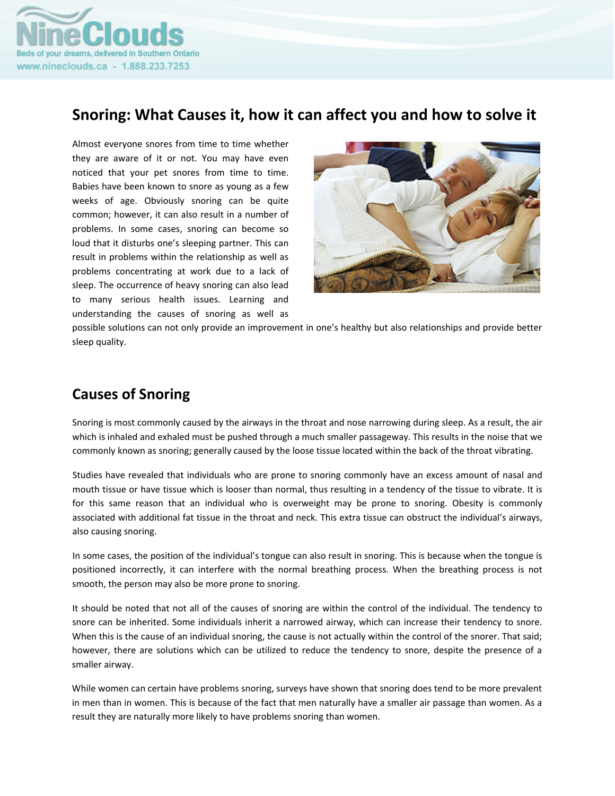

## **Snoring: What Causes it, how it can affect you and how to solve it**

Almost everyone snores from time to time whether they are aware of it or not. You may have even noticed that your pet snores from time to time. Babies have been known to snore as young as a few weeks of age. Obviously snoring can be quite common; however, it can also result in a number of problems. In some cases, snoring can become so loud that it disturbs one's sleeping partner. This can result in problems within the relationship as well as problems concentrating at work due to a lack of sleep. The occurrence of heavy snoring can also lead to many serious health issues. Learning and understanding the causes of snoring as well as



possible solutions can not only provide an improvement in one's healthy but also relationships and provide better sleep quality.

## **Causes of Snoring**

Snoring is most commonly caused by the airways in the throat and nose narrowing during sleep. As a result, the air which is inhaled and exhaled must be pushed through a much smaller passageway. This results in the noise that we commonly known as snoring; generally caused by the loose tissue located within the back of the throat vibrating.

Studies have revealed that individuals who are prone to snoring commonly have an excess amount of nasal and mouth tissue or have tissue which is looser than normal, thus resulting in a tendency of the tissue to vibrate. It is for this same reason that an individual who is overweight may be prone to snoring. Obesity is commonly associated with additional fat tissue in the throat and neck. This extra tissue can obstruct the individual's airways, also causing snoring.

In some cases, the position of the individual's tongue can also result in snoring. This is because when the tongue is positioned incorrectly, it can interfere with the normal breathing process. When the breathing process is not smooth, the person may also be more prone to snoring.

It should be noted that not all of the causes of snoring are within the control of the individual. The tendency to snore can be inherited. Some individuals inherit a narrowed airway, which can increase their tendency to snore. When this is the cause of an individual snoring, the cause is not actually within the control of the snorer. That said; however, there are solutions which can be utilized to reduce the tendency to snore, despite the presence of a smaller airway.

While women can certain have problems snoring, surveys have shown that snoring does tend to be more prevalent in men than in women. This is because of the fact that men naturally have a smaller air passage than women. As a result they are naturally more likely to have problems snoring than women.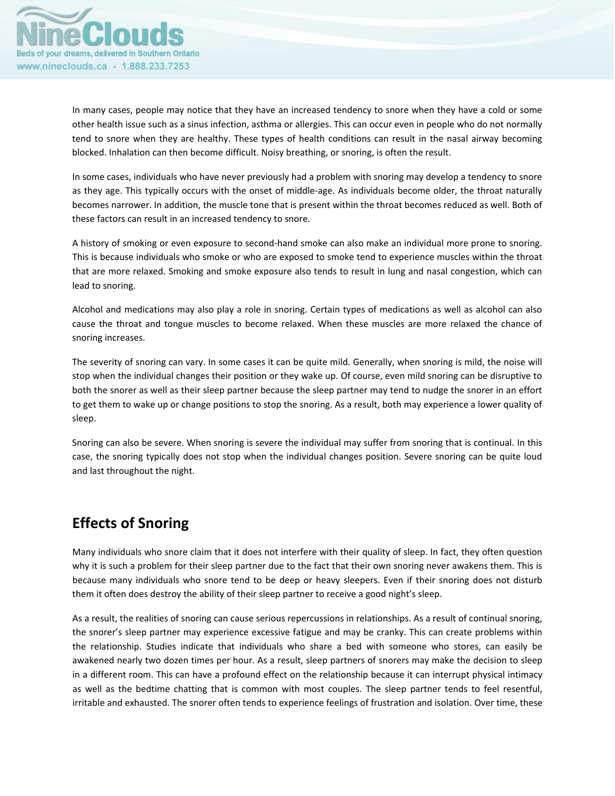

In many cases, people may notice that they have an increased tendency to snore when they have a cold or some other health issue such as a sinus infection, asthma or allergies. This can occur even in people who do not normally tend to snore when they are healthy. These types of health conditions can result in the nasal airway becoming blocked. Inhalation can then become difficult. Noisy breathing, or snoring, is often the result.

In some cases, individuals who have never previously had a problem with snoring may develop a tendency to snore as they age. This typically occurs with the onset of middle-age. As individuals become older, the throat naturally becomes narrower. In addition, the muscle tone that is present within the throat becomes reduced as well. Both of these factors can result in an increased tendency to snore.

A history of smoking or even exposure to second‐hand smoke can also make an individual more prone to snoring. This is because individuals who smoke or who are exposed to smoke tend to experience muscles within the throat that are more relaxed. Smoking and smoke exposure also tends to result in lung and nasal congestion, which can lead to snoring.

Alcohol and medications may also play a role in snoring. Certain types of medications as well as alcohol can also cause the throat and tongue muscles to become relaxed. When these muscles are more relaxed the chance of snoring increases.

The severity of snoring can vary. In some cases it can be quite mild. Generally, when snoring is mild, the noise will stop when the individual changes their position or they wake up. Of course, even mild snoring can be disruptive to both the snorer as well as their sleep partner because the sleep partner may tend to nudge the snorer in an effort to get them to wake up or change positions to stop the snoring. As a result, both may experience a lower quality of sleep.

Snoring can also be severe. When snoring is severe the individual may suffer from snoring that is continual. In this case, the snoring typically does not stop when the individual changes position. Severe snoring can be quite loud and last throughout the night.

## **Effects of Snoring**

Many individuals who snore claim that it does not interfere with their quality of sleep. In fact, they often question why it is such a problem for their sleep partner due to the fact that their own snoring never awakens them. This is because many individuals who snore tend to be deep or heavy sleepers. Even if their snoring does not disturb them it often does destroy the ability of their sleep partner to receive a good night's sleep.

As a result, the realities of snoring can cause serious repercussions in relationships. As a result of continual snoring, the snorer's sleep partner may experience excessive fatigue and may be cranky. This can create problems within the relationship. Studies indicate that individuals who share a bed with someone who stores, can easily be awakened nearly two dozen times per hour. As a result, sleep partners of snorers may make the decision to sleep in a different room. This can have a profound effect on the relationship because it can interrupt physical intimacy as well as the bedtime chatting that is common with most couples. The sleep partner tends to feel resentful, irritable and exhausted. The snorer often tends to experience feelings of frustration and isolation. Over time, these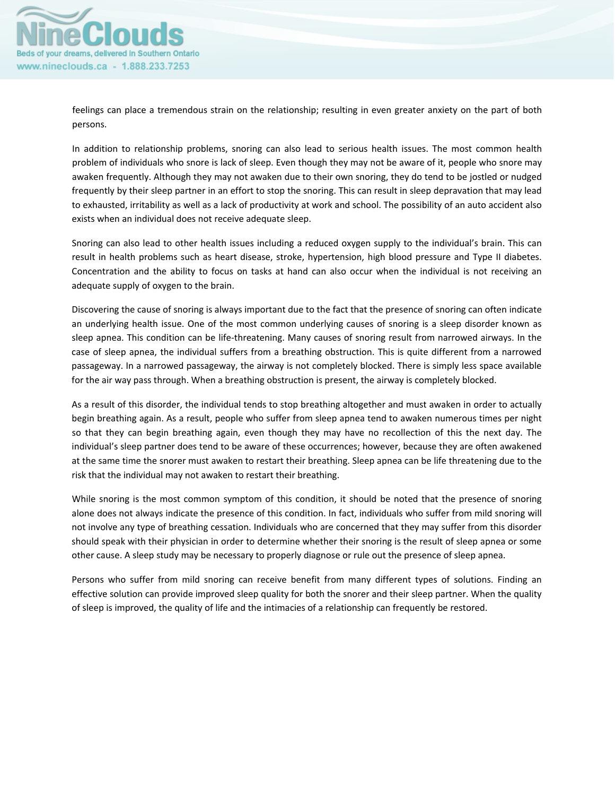

feelings can place a tremendous strain on the relationship; resulting in even greater anxiety on the part of both persons.

In addition to relationship problems, snoring can also lead to serious health issues. The most common health problem of individuals who snore is lack of sleep. Even though they may not be aware of it, people who snore may awaken frequently. Although they may not awaken due to their own snoring, they do tend to be jostled or nudged frequently by their sleep partner in an effort to stop the snoring. This can result in sleep depravation that may lead to exhausted, irritability as well as a lack of productivity at work and school. The possibility of an auto accident also exists when an individual does not receive adequate sleep.

Snoring can also lead to other health issues including a reduced oxygen supply to the individual's brain. This can result in health problems such as heart disease, stroke, hypertension, high blood pressure and Type II diabetes. Concentration and the ability to focus on tasks at hand can also occur when the individual is not receiving an adequate supply of oxygen to the brain.

Discovering the cause of snoring is always important due to the fact that the presence of snoring can often indicate an underlying health issue. One of the most common underlying causes of snoring is a sleep disorder known as sleep apnea. This condition can be life-threatening. Many causes of snoring result from narrowed airways. In the case of sleep apnea, the individual suffers from a breathing obstruction. This is quite different from a narrowed passageway. In a narrowed passageway, the airway is not completely blocked. There is simply less space available for the air way pass through. When a breathing obstruction is present, the airway is completely blocked.

As a result of this disorder, the individual tends to stop breathing altogether and must awaken in order to actually begin breathing again. As a result, people who suffer from sleep apnea tend to awaken numerous times per night so that they can begin breathing again, even though they may have no recollection of this the next day. The individual's sleep partner does tend to be aware of these occurrences; however, because they are often awakened at the same time the snorer must awaken to restart their breathing. Sleep apnea can be life threatening due to the risk that the individual may not awaken to restart their breathing.

While snoring is the most common symptom of this condition, it should be noted that the presence of snoring alone does not always indicate the presence of this condition. In fact, individuals who suffer from mild snoring will not involve any type of breathing cessation. Individuals who are concerned that they may suffer from this disorder should speak with their physician in order to determine whether their snoring is the result of sleep apnea or some other cause. A sleep study may be necessary to properly diagnose or rule out the presence of sleep apnea.

Persons who suffer from mild snoring can receive benefit from many different types of solutions. Finding an effective solution can provide improved sleep quality for both the snorer and their sleep partner. When the quality of sleep is improved, the quality of life and the intimacies of a relationship can frequently be restored.